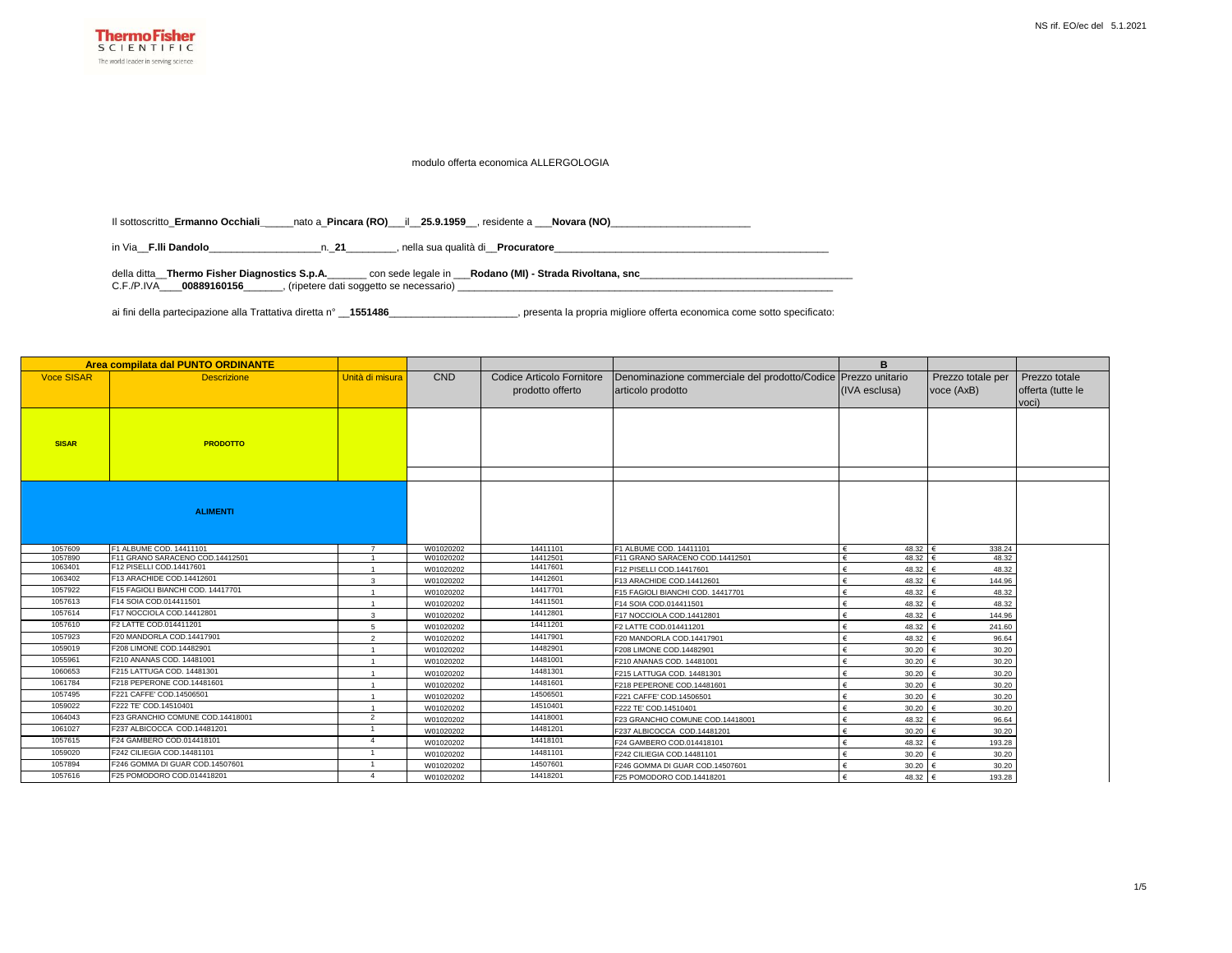

## modulo offerta economica ALLERGOLOGIA

Il sottoscritto\_**Ermanno Occhiali\_**\_\_\_\_\_nato a\_**Pincara (RO)**\_\_\_il\_\_**25.9.1959**\_\_, residente a \_\_\_**Novara (NO)**\_\_\_\_\_\_\_\_\_\_\_\_\_\_\_\_\_\_\_\_\_\_\_\_\_

in Via\_\_**F.lli Dandolo**\_\_\_\_\_\_\_\_\_\_\_\_\_\_\_\_\_\_\_\_n.\_**21**\_\_\_\_\_\_\_\_\_, nella sua qualità di\_\_**Procuratore**\_\_\_\_\_\_\_\_\_\_\_\_\_\_\_\_\_\_\_\_\_\_\_\_\_\_\_\_\_\_\_\_\_\_\_\_\_\_\_\_\_\_\_\_\_\_\_\_\_

della ditta\_\_**Thermo Fisher Diagnostics S.p.A.**\_\_\_\_\_\_\_ con sede legale in \_\_\_**Rodano (MI) - Strada Rivoltana, snc**\_\_\_\_\_\_\_\_\_\_\_\_\_\_\_\_\_\_\_\_\_\_\_\_\_\_\_\_\_\_\_\_\_\_\_\_\_\_ C.F./P.IVA\_\_\_\_**00889160156**\_\_\_\_\_\_\_, (ripetere dati soggetto se necessario) \_\_\_\_\_\_\_\_\_\_\_\_\_\_\_\_\_\_\_\_\_\_\_\_\_\_\_\_\_\_\_\_\_\_\_\_\_\_\_\_\_\_\_\_\_\_\_\_\_\_\_\_\_\_\_\_\_\_\_\_\_\_\_\_\_\_\_

ai fini della partecipazione alla Trattativa diretta n° \_\_**1551486**\_\_\_\_\_\_\_\_\_\_\_\_\_\_\_\_\_\_\_\_\_\_\_, presenta la propria migliore offerta economica come sotto specificato:

| Area compilata dal PUNTO ORDINANTE |                                                                                         |                |                                                               |                      |                                    | B                |                      |                   |
|------------------------------------|-----------------------------------------------------------------------------------------|----------------|---------------------------------------------------------------|----------------------|------------------------------------|------------------|----------------------|-------------------|
| <b>Voce SISAR</b>                  | <b>CND</b><br><b>Descrizione</b><br>Unità di misura<br><b>Codice Articolo Fornitore</b> |                | Denominazione commerciale del prodotto/Codice Prezzo unitario |                      | Prezzo totale per                  | Prezzo totale    |                      |                   |
|                                    |                                                                                         |                |                                                               | prodotto offerto     | articolo prodotto<br>(IVA esclusa) |                  | voce (AxB)           | offerta (tutte le |
|                                    |                                                                                         |                |                                                               |                      |                                    |                  |                      | voci)             |
|                                    |                                                                                         |                |                                                               |                      |                                    |                  |                      |                   |
|                                    |                                                                                         |                |                                                               |                      |                                    |                  |                      |                   |
| <b>SISAR</b>                       | <b>PRODOTTO</b>                                                                         |                |                                                               |                      |                                    |                  |                      |                   |
|                                    |                                                                                         |                |                                                               |                      |                                    |                  |                      |                   |
|                                    |                                                                                         |                |                                                               |                      |                                    |                  |                      |                   |
|                                    |                                                                                         |                |                                                               |                      |                                    |                  |                      |                   |
|                                    |                                                                                         |                |                                                               |                      |                                    |                  |                      |                   |
|                                    |                                                                                         |                |                                                               |                      |                                    |                  |                      |                   |
|                                    | <b>ALIMENTI</b>                                                                         |                |                                                               |                      |                                    |                  |                      |                   |
|                                    |                                                                                         |                |                                                               |                      |                                    |                  |                      |                   |
|                                    |                                                                                         |                |                                                               |                      |                                    |                  |                      |                   |
| 1057609                            | F1 ALBUME COD, 14411101                                                                 | $\overline{7}$ | W01020202                                                     | 14411101             | F1 ALBUME COD, 14411101            | 48.32 $\epsilon$ | 338.24               |                   |
| 1057890<br>1063401                 | F11 GRANO SARACENO COD.14412501<br>F12 PISELLI COD.14417601                             |                | W01020202                                                     | 14412501<br>14417601 | F11 GRANO SARACENO COD.14412501    | 48.32            | 48.32                |                   |
| 1063402                            | F13 ARACHIDE COD.14412601                                                               |                | W01020202                                                     | 14412601             | F12 PISELLI COD.14417601           | 48.32 €          | 48.32                |                   |
|                                    |                                                                                         | 3              | W01020202                                                     | 14417701             | F13 ARACHIDE COD.14412601          | 48.32 €          | 144.96               |                   |
| 1057922                            | F15 FAGIOLI BIANCHI COD. 14417701                                                       | $\overline{1}$ | W01020202                                                     |                      | F15 FAGIOLI BIANCHI COD. 14417701  | 48.32            | 48.32                |                   |
| 1057613                            | F14 SOIA COD.014411501                                                                  | $\overline{1}$ | W01020202                                                     | 14411501             | F14 SOIA COD.014411501             | 48.32 €          | 48.32                |                   |
| 1057614                            | F17 NOCCIOLA COD.14412801                                                               | 3              | W01020202                                                     | 14412801             | F17 NOCCIOLA COD.14412801          | 48.32            | 144.96<br>$\epsilon$ |                   |
| 1057610                            | F2 LATTE COD.014411201                                                                  | 5              | W01020202                                                     | 14411201             | F2 LATTE COD.014411201             | 48.32            | 241.60               |                   |
| 1057923                            | F20 MANDORLA COD.14417901                                                               | $\overline{2}$ | W01020202                                                     | 14417901             | F20 MANDORLA COD.14417901          | $48.32 \in$      | 96.64                |                   |
| 1059019                            | F208 LIMONE COD.14482901                                                                |                | W01020202                                                     | 14482901             | F208 LIMONE COD.14482901           | 30.20            | 30.20                |                   |
| 1055961                            | F210 ANANAS COD. 14481001                                                               | $\overline{1}$ | W01020202                                                     | 14481001             | F210 ANANAS COD. 14481001          | 30.20            | 30.20                |                   |
| 1060653                            | F215 LATTUGA COD, 14481301                                                              | $\overline{1}$ | W01020202                                                     | 14481301             | F215 LATTUGA COD. 14481301         | 30.20            | 30.20                |                   |
| 1061784                            | F218 PEPERONE COD.14481601                                                              | $\overline{1}$ | W01020202                                                     | 14481601             | F218 PEPERONE COD.14481601         | 30.20 $\in$      | 30.20                |                   |
| 1057495                            | F221 CAFFE' COD.14506501                                                                | $\overline{1}$ | W01020202                                                     | 14506501             | F221 CAFFE' COD.14506501           | $30.20 \in$      | 30.20                |                   |
| 1059022                            | F222 TE' COD.14510401                                                                   | $\overline{1}$ | W01020202                                                     | 14510401             | F222 TE' COD.14510401              | $30.20 \in$      | 30.20                |                   |
| 1064043                            | F23 GRANCHIO COMUNE COD.14418001                                                        | 2              | W01020202                                                     | 14418001             | F23 GRANCHIO COMUNE COD.14418001   | 48.32 €          | 96.64                |                   |
| 1061027                            | F237 ALBICOCCA COD.14481201                                                             |                | W01020202                                                     | 14481201             | F237 ALBICOCCA COD.14481201        | 30.20 $\in$      | 30.20                |                   |
| 1057615                            | F24 GAMBERO COD.014418101                                                               | $\overline{4}$ | W01020202                                                     | 14418101             | F24 GAMBERO COD.014418101          | 48.32 $\epsilon$ | 193.28               |                   |
| 1059020                            | F242 CILIEGIA COD.14481101                                                              |                | W01020202                                                     | 14481101             | F242 CILIEGIA COD.14481101         | $30.20 \in$      | 30.20                |                   |
| 1057894                            | F246 GOMMA DI GUAR COD.14507601                                                         |                | W01020202                                                     | 14507601             | F246 GOMMA DI GUAR COD.14507601    | 30.20            | 30.20                |                   |
| 1057616                            | F25 POMODORO COD.014418201                                                              | $\overline{4}$ | W01020202                                                     | 14418201             | F25 POMODORO COD.14418201          | 48.32 €          | 193.28               |                   |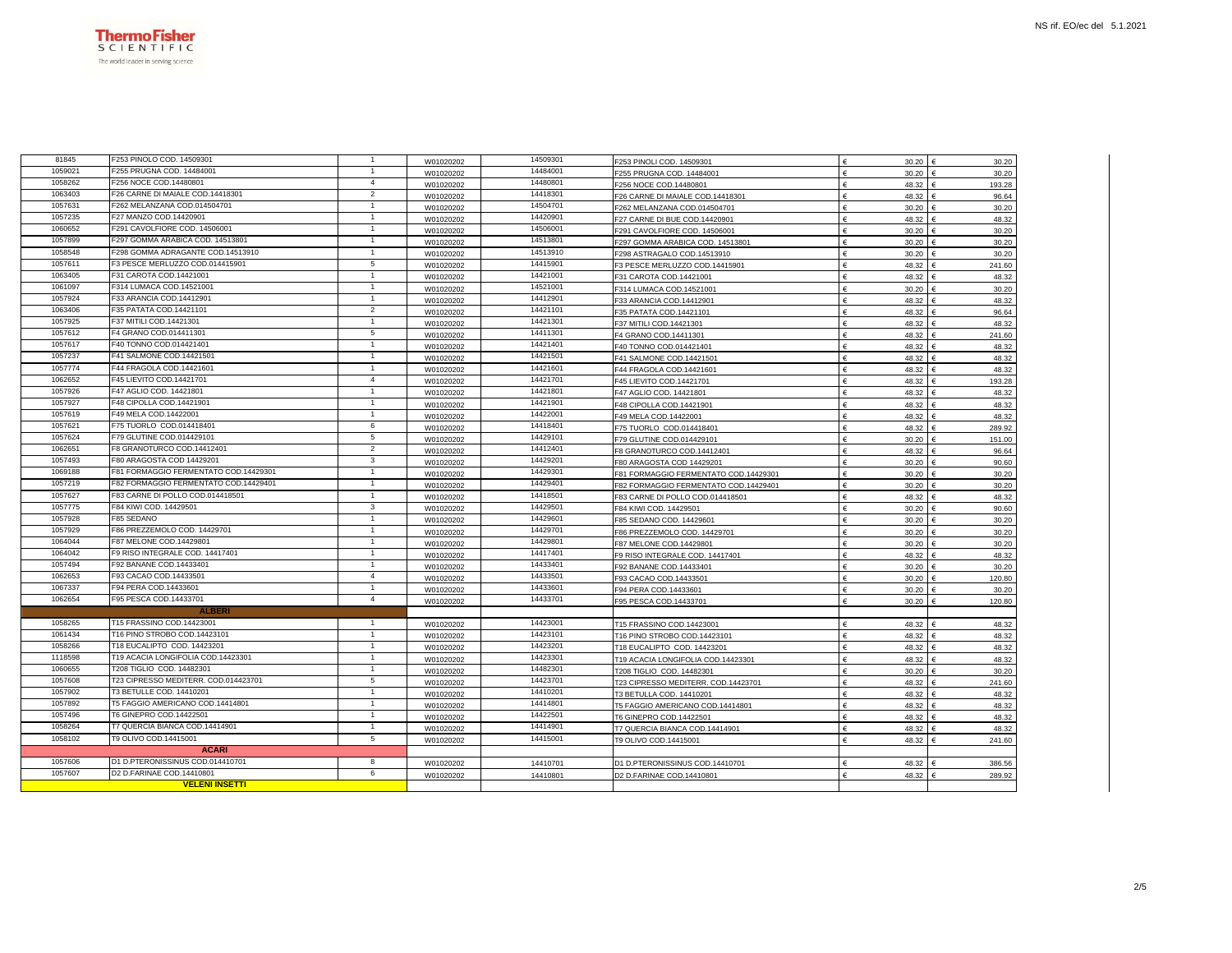

| 81845   | F253 PINOLO COD. 14509301             | $\overline{1}$ | W01020202 | 14509301 | F253 PINOLI COD. 14509301             | 30.20<br>€          | 30.20       |
|---------|---------------------------------------|----------------|-----------|----------|---------------------------------------|---------------------|-------------|
| 1059021 | F255 PRUGNA COD. 14484001             | $\mathbf{1}$   | W01020202 | 14484001 | F255 PRUGNA COD. 14484001             | €<br>30.20          | 30.20       |
| 1058262 | F256 NOCE COD.14480801                | $\overline{4}$ | W01020202 | 14480801 | F256 NOCE COD.14480801                | €<br>48.32          | 193.28      |
| 1063403 | F26 CARNE DI MAIALE COD.14418301      | $\overline{2}$ | W01020202 | 14418301 | F26 CARNE DI MAIALE COD.14418301      | €<br>48.32          | 96.64       |
| 1057631 | F262 MELANZANA COD.014504701          | $\overline{1}$ | W01020202 | 14504701 | F262 MELANZANA COD.014504701          | 30.20               | 30.20       |
| 1057235 | F27 MANZO COD.14420901                | $\mathbf{1}$   | W01020202 | 14420901 | F27 CARNE DI BUE COD.14420901         | 48.32               | 48.32       |
| 1060652 | F291 CAVOLFIORE COD, 14506001         | $\overline{1}$ | W01020202 | 14506001 | F291 CAVOLFIORE COD. 14506001         | $\epsilon$<br>30.20 | 30.20       |
| 1057899 | F297 GOMMA ARABICA COD. 14513801      | $\overline{1}$ | W01020202 | 14513801 | F297 GOMMA ARABICA COD. 14513801      | 30.20               | 30.20       |
| 1058548 | F298 GOMMA ADRAGANTE COD.14513910     | $\mathbf{1}$   | W01020202 | 14513910 | F298 ASTRAGALO COD.14513910           | 30.20               | 30.20       |
| 1057611 | F3 PESCE MERLUZZO COD.014415901       | 5              | W01020202 | 14415901 | F3 PESCE MERLUZZO COD.14415901        | €<br>48.32          | 241.60      |
| 1063405 | F31 CAROTA COD.14421001               | $\mathbf{1}$   | W01020202 | 14421001 | F31 CAROTA COD.14421001               | 48.32               | 48.32       |
| 1061097 | F314 LUMACA COD.14521001              | $\overline{1}$ | W01020202 | 14521001 | F314 LUMACA COD.14521001              | 30.20               | 30.20       |
| 1057924 | F33 ARANCIA COD.14412901              | $\mathbf{1}$   | W01020202 | 14412901 | F33 ARANCIA COD.14412901              | €<br>48.32          | 48.32       |
| 1063406 | F35 PATATA COD.14421101               | $\overline{a}$ | W01020202 | 14421101 | F35 PATATA COD.14421101               | €<br>48.32          | 96.64       |
| 1057925 | F37 MITILI COD.14421301               | $\overline{1}$ | W01020202 | 14421301 | F37 MITILI COD.14421301               | 48.32<br>€          | 48.32       |
| 1057612 | F4 GRANO COD.014411301                | 5              | W01020202 | 14411301 | F4 GRANO COD.14411301                 | €<br>48.32          | 241.60      |
| 1057617 | F40 TONNO COD.014421401               | $\mathbf{1}$   | W01020202 | 14421401 | F40 TONNO COD.014421401               | $\epsilon$<br>48.32 | 48.32       |
| 1057237 | F41 SALMONE COD.14421501              | $\overline{1}$ | W01020202 | 14421501 | F41 SALMONE COD.14421501              | 48.32<br>€          | 48.32       |
| 1057774 | F44 FRAGOLA COD.14421601              | $\overline{1}$ | W01020202 | 14421601 | F44 FRAGOLA COD.14421601              | 48.32               | 48.32       |
| 1062652 | F45 LIEVITO COD.14421701              | $\overline{4}$ | W01020202 | 14421701 | F45 LIEVITO COD.14421701              | 48.32               | 193.28      |
| 1057926 | F47 AGLIO COD. 14421801               | $\mathbf{1}$   | W01020202 | 14421801 | F47 AGLIO COD. 14421801               | €<br>48.32          | 48.32       |
| 1057927 | F48 CIPOLLA COD.14421901              | $\overline{1}$ | W01020202 | 14421901 | F48 CIPOLLA COD.14421901              | 48.32<br>€          | 48.32       |
| 1057619 | F49 MELA COD.14422001                 | $\mathbf{1}$   | W01020202 | 14422001 | F49 MELA COD.14422001                 | €<br>48.32          | 48.32       |
| 1057621 | F75 TUORLO COD.014418401              | 6              | W01020202 | 14418401 | F75 TUORLO COD.014418401              | $\epsilon$<br>48.32 | 289.92      |
| 1057624 | F79 GLUTINE COD.014429101             | 5              | W01020202 | 14429101 | F79 GLUTINE COD.014429101             | 30.20<br>€          | 151.00      |
| 1062651 | F8 GRANOTURCO COD.14412401            | $\overline{2}$ | W01020202 | 14412401 | F8 GRANOTURCO COD.14412401            | €<br>48.32          | 96.64       |
| 1057493 | F80 ARAGOSTA COD 14429201             | 3              | W01020202 | 14429201 | F80 ARAGOSTA COD 14429201             | 30.20               | 90.60       |
| 1069188 | F81 FORMAGGIO FERMENTATO COD.14429301 | $\mathbf{1}$   | W01020202 | 14429301 | F81 FORMAGGIO FERMENTATO COD.14429301 | €<br>30.20          | 30.20       |
| 1057219 | F82 FORMAGGIO FERMENTATO COD.14429401 | $\mathbf{1}$   | W01020202 | 14429401 | F82 FORMAGGIO FERMENTATO COD.14429401 | 30.20<br>€          | 30.20       |
| 1057627 | F83 CARNE DI POLLO COD.014418501      | $\overline{1}$ | W01020202 | 14418501 | F83 CARNE DI POLLO COD.014418501      | 48.32               | 48.32       |
| 1057775 | F84 KIWI COD. 14429501                | 3              | W01020202 | 14429501 | F84 KIWI COD. 14429501                | €<br>30.20          | 90.60       |
| 1057928 | F85 SEDANO                            | $\overline{1}$ | W01020202 | 14429601 | F85 SEDANO COD. 14429601              | €<br>30.20          | 30.20       |
| 1057929 | F86 PREZZEMOLO COD. 14429701          | $\mathbf{1}$   | W01020202 | 14429701 | F86 PREZZEMOLO COD. 14429701          | 30.20               | 30.20       |
| 1064044 | F87 MELONE COD.14429801               | $\mathbf{1}$   | W01020202 | 14429801 | F87 MELONE COD.14429801               | 30.20               | 30.20       |
| 1064042 | F9 RISO INTEGRALE COD. 14417401       | -1             | W01020202 | 14417401 | F9 RISO INTEGRALE COD. 14417401       | €<br>48.32          | 48.32       |
| 1057494 | F92 BANANE COD.14433401               | $\mathbf{1}$   | W01020202 | 14433401 | F92 BANANE COD.14433401               | 30.20<br>€          | 30.20       |
| 1062653 | F93 CACAO COD.14433501                | $\overline{4}$ | W01020202 | 14433501 | F93 CACAO COD.14433501                | 30.20               | 120.80      |
| 1067337 | F94 PERA COD.14433601                 | $\mathbf{1}$   | W01020202 | 14433601 | F94 PERA COD.14433601                 | £<br>30.20          | 30.20       |
| 1062654 | F95 PESCA COD.14433701                | $\overline{4}$ | W01020202 | 14433701 | F95 PESCA COD.14433701                | €<br>30.20          | 120.80      |
|         | <b>ALBERI</b>                         |                |           |          |                                       |                     |             |
| 1058265 | T15 FRASSINO COD.14423001             | $\mathbf{1}$   | W01020202 | 14423001 | T15 FRASSINO COD.14423001             | 48.32               | 48.32       |
| 1061434 | T16 PINO STROBO COD.14423101          | $\mathbf{1}$   | W01020202 | 14423101 | T16 PINO STROBO COD.14423101          | €<br>48.32          | 48.32       |
| 1058266 | T18 EUCALIPTO COD. 14423201           | $\mathbf{1}$   | W01020202 | 14423201 | T18 EUCALIPTO COD. 14423201           | 48.32<br>€          | 48.32       |
| 1118598 | T19 ACACIA LONGIFOLIA COD.14423301    | $\mathbf{1}$   | W01020202 | 14423301 | T19 ACACIA LONGIFOLIA COD.14423301    | 48.32               | 48.32       |
| 1060655 | T208 TIGLIO COD. 14482301             | $\mathbf{1}$   | W01020202 | 14482301 | T208 TIGLIO COD, 14482301             | 30.20               | 30.20       |
| 1057608 | T23 CIPRESSO MEDITERR. COD.014423701  | 5              | W01020202 | 14423701 | T23 CIPRESSO MEDITERR. COD.14423701   | 48.32<br>€          | 241.60      |
| 1057902 | T3 BETULLE COD. 14410201              | $\overline{1}$ | W01020202 | 14410201 | T3 BETULLA COD. 14410201              | 48.32               | 48.32       |
| 1057892 | T5 FAGGIO AMERICANO COD.14414801      | $\mathbf{1}$   | W01020202 | 14414801 | T5 FAGGIO AMERICANO COD.14414801      | 48.32               | 48.32       |
| 1057496 | T6 GINEPRO COD.14422501               | $\mathbf{1}$   | W01020202 | 14422501 | T6 GINEPRO COD.14422501               | 48.32<br>€          | 48.32       |
| 1058264 | T7 QUERCIA BIANCA COD.14414901        | $\mathbf{1}$   | W01020202 | 14414901 | T7 QUERCIA BIANCA COD.14414901        | 48.32               | 48.32       |
| 1058102 | T9 OLIVO COD.14415001                 | 5              | W01020202 | 14415001 | T9 OLIVO COD.14415001                 | 48.32               | 241.60      |
|         | <b>ACARI</b>                          |                |           |          |                                       |                     |             |
| 1057606 | D1 D.PTERONISSINUS COD.014410701      | 8              | W01020202 | 14410701 | D1 D.PTERONISSINUS COD.14410701       | 48.32               | 386.56      |
| 1057607 | D2 D.FARINAE COD.14410801             | 6              |           |          |                                       |                     |             |
|         |                                       |                | W01020202 | 14410801 | D2 D.FARINAE COD.14410801             | 48.32               | 289.92<br>€ |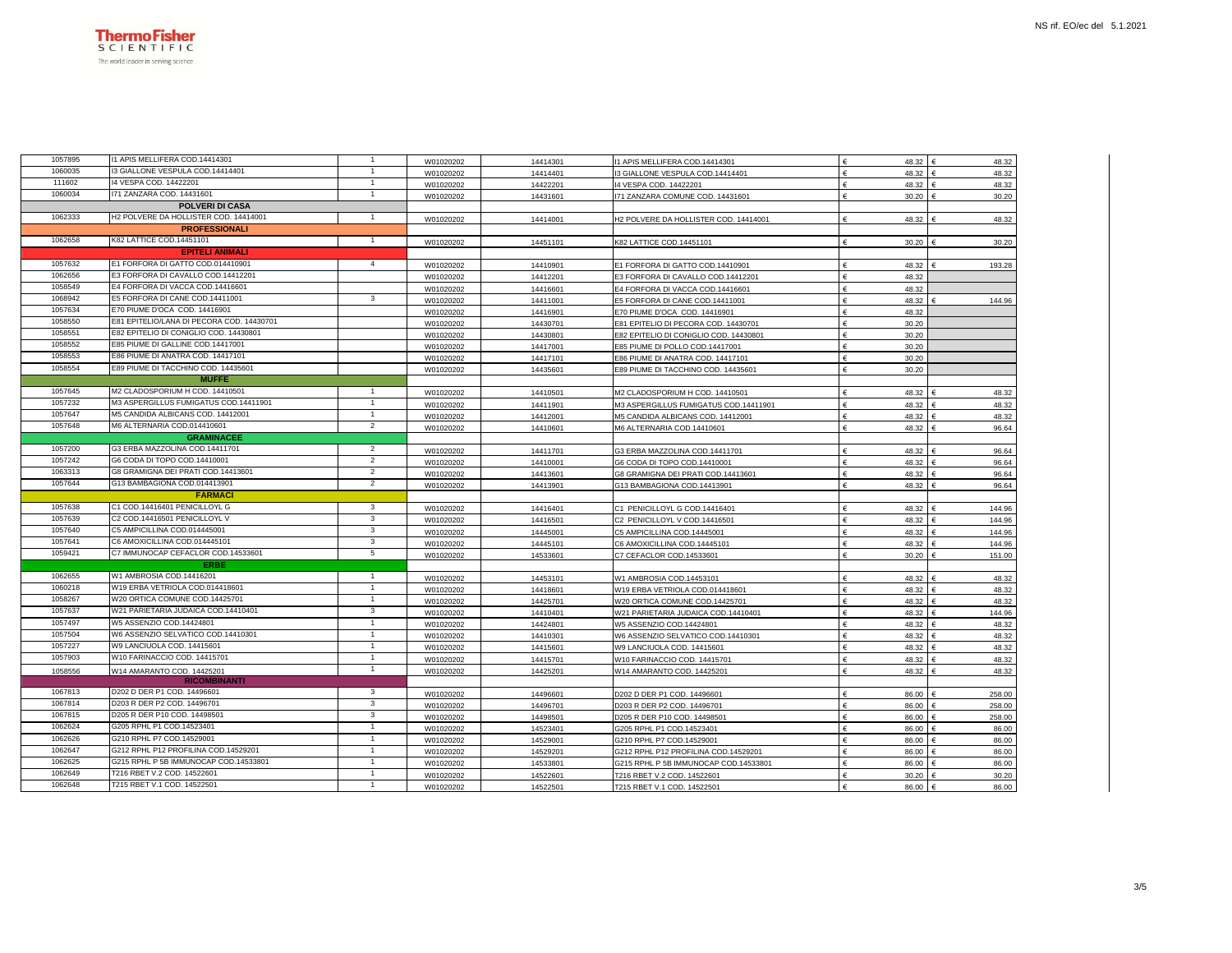

| 1057895 | 11 APIS MELLIFERA COD.14414301            | $\mathbf{1}$   | W01020202 | 14414301 | 11 APIS MELLIFERA COD.14414301         | 48.32 €<br>£          | 48.32  |
|---------|-------------------------------------------|----------------|-----------|----------|----------------------------------------|-----------------------|--------|
| 1060035 | 3 GIALLONE VESPULA COD.14414401           | $\mathbf{1}$   | W01020202 | 14414401 | I3 GIALLONE VESPULA COD.14414401       | 48.32 €<br>€          | 48.32  |
| 111602  | 14 VESPA COD. 14422201                    |                | W01020202 | 14422201 | 14 VESPA COD. 14422201                 | 48.32 €<br>€          | 48.32  |
| 1060034 | 171 ZANZARA COD. 14431601                 | $\mathbf{1}$   | W01020202 | 14431601 | 171 ZANZARA COMUNE COD. 14431601       | 30.20 €               | 30.20  |
|         | <b>POLVERI DI CASA</b>                    |                |           |          |                                        |                       |        |
| 1062333 | H2 POLVERE DA HOLLISTER COD. 14414001     | $\overline{1}$ | W01020202 | 14414001 | H2 POLVERE DA HOLLISTER COD. 14414001  | 48.32 €               | 48.32  |
|         | <b>PROFESSIONALI</b>                      |                |           |          |                                        |                       |        |
| 1062658 | K82 LATTICE COD.14451101                  | $\mathbf{1}$   | W01020202 | 14451101 | K82 LATTICE COD.14451101               | $\epsilon$<br>30.20   | 30.20  |
|         | <b>EPITELI ANIMALI</b>                    |                |           |          |                                        |                       |        |
| 1057632 | E1 FORFORA DI GATTO COD.014410901         | $\overline{4}$ | W01020202 | 14410901 | E1 FORFORA DI GATTO COD.14410901       | €<br>48.32            | 193.28 |
| 1062656 | E3 FORFORA DI CAVALLO COD.14412201        |                | W01020202 | 14412201 | E3 FORFORA DI CAVALLO COD.14412201     | £<br>48.32            |        |
| 1058549 | E4 FORFORA DI VACCA COD.14416601          |                | W01020202 | 14416601 | E4 FORFORA DI VACCA COD.14416601       | 48.32<br>€            |        |
| 1068942 | E5 FORFORA DI CANE COD.14411001           | 3              | W01020202 | 14411001 | E5 FORFORA DI CANE COD.14411001        | 48.32<br>€            | 144.96 |
| 1057634 | E70 PIUME D'OCA COD, 14416901             |                | W01020202 | 14416901 | E70 PIUME D'OCA COD. 14416901          | 48.32                 |        |
| 1058550 | E81 EPITELIO/LANA DI PECORA COD. 14430701 |                | W01020202 | 14430701 | E81 EPITELIO DI PECORA COD. 14430701   | $\epsilon$<br>30.20   |        |
| 1058551 | E82 EPITELIO DI CONIGLIO COD. 14430801    |                | W01020202 | 14430801 | E82 EPITELIO DI CONIGLIO COD. 14430801 | 30.20<br>€            |        |
| 1058552 | E85 PIUME DI GALLINE COD.14417001         |                | W01020202 | 14417001 | E85 PIUME DI POLLO COD.14417001        | 30.20                 |        |
| 1058553 | E86 PIUME DI ANATRA COD. 14417101         |                | W01020202 | 14417101 | E86 PIUME DI ANATRA COD. 14417101      | 30.20<br>$\epsilon$   |        |
| 1058554 | E89 PIUME DI TACCHINO COD, 14435601       |                | W01020202 | 14435601 | E89 PIUME DI TACCHINO COD. 14435601    | €<br>30.20            |        |
|         | <b>MUFFE</b>                              |                |           |          |                                        |                       |        |
| 1057645 | M2 CLADOSPORIUM H COD. 14410501           | $\mathbf{1}$   | W01020202 | 14410501 | M2 CLADOSPORIUM H COD. 14410501        | 48.32 €               | 48.32  |
| 1057232 | M3 ASPERGILLUS FUMIGATUS COD.14411901     | $\overline{1}$ | W01020202 | 14411901 | M3 ASPERGILLUS FUMIGATUS COD.14411901  | €<br>48.32 €          | 48.32  |
| 1057647 | M5 CANDIDA ALBICANS COD. 14412001         | $\overline{1}$ | W01020202 | 14412001 | M5 CANDIDA ALBICANS COD. 14412001      | €<br>48.32 €          | 48.32  |
| 1057648 | M6 ALTERNARIA COD.014410601               | $\overline{2}$ | W01020202 | 14410601 | M6 ALTERNARIA COD.14410601             | €<br>48.32 €          | 96.64  |
|         | <b>GRAMINACEE</b>                         |                |           |          |                                        |                       |        |
| 1057200 | G3 ERBA MAZZOLINA COD.14411701            | $\overline{2}$ | W01020202 | 14411701 | G3 ERBA MAZZOLINA COD.14411701         | 48.32<br>€            | 96.64  |
| 1057242 | G6 CODA DI TOPO COD.14410001              | $\overline{2}$ | W01020202 | 14410001 | G6 CODA DI TOPO COD.14410001           | 48.32                 | 96.64  |
| 1063313 | G8 GRAMIGNA DEI PRATI COD.14413601        | $\overline{2}$ | W01020202 | 14413601 | G8 GRAMIGNA DEI PRATI COD.14413601     | €<br>48.32            | 96.64  |
| 1057644 | G13 BAMBAGIONA COD.014413901              | $\overline{2}$ | W01020202 | 14413901 | G13 BAMBAGIONA COD.14413901            | €<br>48.32            | 96.64  |
|         | <b>FARMACI</b>                            |                |           |          |                                        |                       |        |
| 1057638 | C1 COD.14416401 PENICILLOYL G             | 3              | W01020202 | 14416401 | C1 PENICILLOYL G COD.14416401          | 48.32                 | 144.96 |
| 1057639 | C2 COD.14416501 PENICILLOYL V             | $\mathbf{3}$   | W01020202 | 14416501 | C2 PENICILLOYL V COD.14416501          | 48.32<br>€            | 144.96 |
| 1057640 | C5 AMPICILLINA COD.014445001              | $\mathbf{3}$   | W01020202 | 14445001 | C5 AMPICILLINA COD.14445001            | 48.32 €<br>€          | 144.96 |
| 1057641 | C6 AMOXICILLINA COD.014445101             | $\mathbf{3}$   | W01020202 | 14445101 | C6 AMOXICILLINA COD.14445101           | 48.32 €<br>€          | 144.96 |
| 1059421 | C7 IMMUNOCAP CEFACLOR COD.14533601        | 5              | W01020202 | 14533601 | C7 CEFACLOR COD.14533601               | €<br>30.20 €          | 151.00 |
|         | <b>ERBI</b>                               |                |           |          |                                        |                       |        |
| 1062655 | W1 AMBROSIA COD.14416201                  | $\mathbf{1}$   | W01020202 | 14453101 | W1 AMBROSIA COD.14453101               | 48.32 €<br>€          | 48.32  |
| 1060218 | W19 ERBA VETRIOLA COD.014418601           | $\mathbf{1}$   | W01020202 | 14418601 | W19 ERBA VETRIOLA COD.014418601        | €<br>48.32 €          | 48.32  |
| 1058267 | W20 ORTICA COMUNE COD.14425701            | $\mathbf{1}$   | W01020202 | 14425701 | W20 ORTICA COMUNE COD.14425701         | €<br>$48.32 \in$      | 48.32  |
| 1057637 | W21 PARIETARIA JUDAICA COD.14410401       | $\mathbf{3}$   | W01020202 | 14410401 | W21 PARIETARIA JUDAICA COD.14410401    | €<br>48.32 €          | 144.96 |
| 1057497 | W5 ASSENZIO COD.14424801                  | $\mathbf{1}$   | W01020202 | 14424801 | W5 ASSENZIO COD.14424801               | €<br>48.32 €          | 48.32  |
| 1057504 | W6 ASSENZIO SELVATICO COD.14410301        | $\mathbf{1}$   | W01020202 | 14410301 | W6 ASSENZIO SELVATICO COD.14410301     | €<br>48.32 €          | 48.32  |
| 1057227 | W9 LANCIUOLA COD. 14415601                | $\mathbf{1}$   | W01020202 | 14415601 | W9 LANCIUOLA COD, 14415601             | 48.32<br>€            | 48.32  |
| 1057903 | W10 FARINACCIO COD. 14415701              | $\overline{1}$ | W01020202 | 14415701 | W10 FARINACCIO COD. 14415701           | 48.32                 | 48.32  |
| 1058556 | W14 AMARANTO COD. 14425201                | $\mathbf{1}$   | W01020202 | 14425201 | W14 AMARANTO COD. 14425201             | 48.32                 | 48.32  |
|         | <b>RICOMBINANTI</b>                       |                |           |          |                                        |                       |        |
| 1067813 | D202 D DER P1 COD. 14496601               | 3              | W01020202 | 14496601 | D202 D DER P1 COD. 14496601            | 86.00 €               | 258.00 |
| 1067814 | D203 R DER P2 COD, 14496701               | $\mathbf{3}$   | W01020202 | 14496701 | D203 R DER P2 COD. 14496701            | €<br>86.00 €          | 258.00 |
| 1067815 | D205 R DER P10 COD. 14498501              | 3              | W01020202 | 14498501 | D205 R DER P10 COD. 14498501           | €<br>86.00            | 258.00 |
| 1062624 | G205 RPHL P1 COD.14523401                 | $\mathbf{1}$   | W01020202 | 14523401 | G205 RPHL P1 COD.14523401              | 86.00 €<br>€          | 86.00  |
| 1062626 | G210 RPHL P7 COD.14529001                 | $\overline{1}$ | W01020202 | 14529001 | G210 RPHL P7 COD.14529001              | €<br>86.00 €          | 86.00  |
| 1062647 | G212 RPHL P12 PROFILINA COD.14529201      | $\mathbf{1}$   | W01020202 | 14529201 | G212 RPHL P12 PROFILINA COD.14529201   | 86.00                 | 86.00  |
| 1062625 | G215 RPHL P 5B IMMUNOCAP COD.14533801     |                | W01020202 | 14533801 | G215 RPHL P 5B IMMUNOCAP COD.14533801  | €<br>86.00            | 86.00  |
| 1062649 | T216 RBET V.2 COD, 14522601               | $\mathbf{1}$   | W01020202 | 14522601 | T216 RBET V.2 COD. 14522601            | $\epsilon$<br>30.20 € | 30.20  |
| 1062648 | T215 RBET V.1 COD. 14522501               | $\overline{1}$ | W01020202 | 14522501 | T215 RBET V.1 COD. 14522501            | 86.00 €               | 86.00  |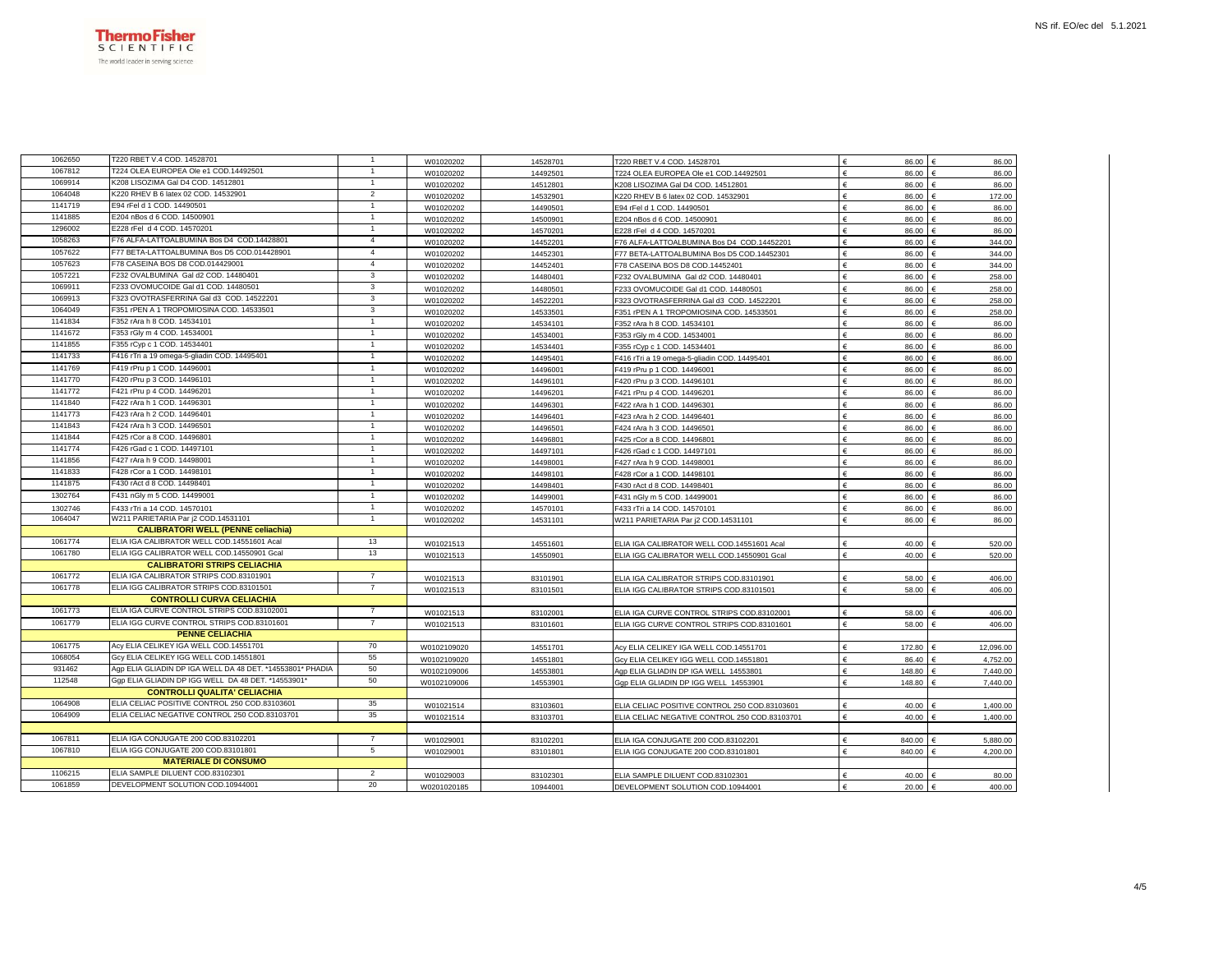

| 1062650 | T220 RBET V.4 COD. 14528701                               | $\mathbf{1}$   | W01020202   | 14528701 | T220 RBET V.4 COD. 14528701                   | £<br>86.00          | 86.00                |
|---------|-----------------------------------------------------------|----------------|-------------|----------|-----------------------------------------------|---------------------|----------------------|
| 1067812 | T224 OLEA EUROPEA Ole e1 COD.14492501                     | 1              | W01020202   | 14492501 | T224 OLEA EUROPEA Ole e1 COD.14492501         | €<br>86.00          | 86.00<br>$\epsilon$  |
| 1069914 | K208 LISOZIMA Gal D4 COD, 14512801                        |                | W01020202   | 14512801 | K208 LISOZIMA Gal D4 COD. 14512801            | €<br>86.00          | 86.00                |
| 1064048 | K220 RHEV B 6 latex 02 COD. 14532901                      | $\overline{2}$ | W01020202   | 14532901 | K220 RHEV B 6 latex 02 COD. 14532901          | €<br>86.00          | 172.00               |
| 1141719 | E94 rFel d 1 COD. 14490501                                | 1              | W01020202   | 14490501 | E94 rFel d 1 COD. 14490501                    | €<br>86.00          | 86.00                |
| 1141885 | E204 nBos d 6 COD. 14500901                               | $\mathbf{1}$   | W01020202   | 14500901 | E204 nBos d 6 COD. 14500901                   | 86.00               | 86.00                |
| 1296002 | E228 rFel d 4 COD. 14570201                               | $\mathbf{1}$   | W01020202   | 14570201 | E228 rFel d 4 COD. 14570201                   | 86.00               | 86.00                |
| 1058263 | F76 ALFA-LATTOALBUMINA Bos D4 COD.14428801                | $\overline{4}$ | W01020202   | 14452201 | F76 ALFA-LATTOALBUMINA Bos D4 COD.14452201    | €<br>86.00          | 344.00               |
| 1057622 | F77 BETA-LATTOALBUMINA Bos D5 COD.014428901               | 4              | W01020202   | 14452301 | F77 BETA-LATTOALBUMINA Bos D5 COD.14452301    | €<br>86.00          | 344.00               |
| 1057623 | F78 CASEINA BOS D8 COD.014429001                          | $\overline{4}$ | W01020202   | 14452401 | F78 CASEINA BOS D8 COD.14452401               | €<br>86.00          | 344.00               |
| 1057221 | F232 OVALBUMINA Gal d2 COD. 14480401                      | 3              | W01020202   | 14480401 | F232 OVALBUMINA Gal d2 COD, 14480401          | 86.00               | 258.00               |
| 1069911 | F233 OVOMUCOIDE Gal d1 COD. 14480501                      | 3              | W01020202   | 14480501 | F233 OVOMUCOIDE Gal d1 COD. 14480501          | €<br>86.00          | 258.00               |
| 1069913 | F323 OVOTRASFERRINA Gal d3 COD. 14522201                  | 3              | W01020202   | 14522201 | F323 OVOTRASFERRINA Gal d3 COD. 14522201      | €<br>86.00          | 258.00               |
| 1064049 | F351 rPEN A 1 TROPOMIOSINA COD. 14533501                  | 3              | W01020202   | 14533501 | F351 rPEN A 1 TROPOMIOSINA COD. 14533501      | €<br>86.00          | 258.00               |
| 1141834 | F352 rAra h 8 COD. 14534101                               | $\mathbf{1}$   | W01020202   | 14534101 | F352 rAra h 8 COD. 14534101                   | €<br>86.00          | 86.00                |
| 1141672 | F353 rGly m 4 COD. 14534001                               |                | W01020202   | 14534001 | F353 rGly m 4 COD. 14534001                   | €<br>86.00          | 86.00                |
| 1141855 | F355 rCyp c 1 COD. 14534401                               |                | W01020202   | 14534401 | F355 rCyp c 1 COD. 14534401                   | €<br>86.00          | 86.00                |
| 1141733 | F416 rTri a 19 omega-5-gliadin COD. 14495401              | $\mathbf{1}$   | W01020202   | 14495401 | F416 rTri a 19 omega-5-gliadin COD. 14495401  | €<br>86.00          | 86.00                |
| 1141769 | F419 rPru p 1 COD. 14496001                               | $\mathbf{1}$   | W01020202   | 14496001 | F419 rPru p 1 COD. 14496001                   | $\epsilon$<br>86.00 | 86.00                |
| 1141770 | F420 rPru p 3 COD. 14496101                               | $\mathbf{1}$   | W01020202   | 14496101 | F420 rPru p 3 COD. 14496101                   | €<br>86.00          | 86.00                |
| 1141772 | F421 rPru p 4 COD. 14496201                               | $\mathbf{1}$   | W01020202   | 14496201 | F421 rPru p 4 COD. 14496201                   | E<br>86.00          | 86.00                |
| 1141840 | F422 rAra h 1 COD. 14496301                               | 1              | W01020202   | 14496301 | F422 rAra h 1 COD. 14496301                   | €<br>86.00          | 86.00                |
| 1141773 | F423 rAra h 2 COD. 14496401                               | 1              | W01020202   | 14496401 | F423 rAra h 2 COD. 14496401                   | €<br>86.00          | 86.00                |
| 1141843 | F424 rAra h 3 COD. 14496501                               | 1              | W01020202   | 14496501 | F424 rAra h 3 COD. 14496501                   | 86.00<br>€          | 86.00                |
| 1141844 | F425 rCor a 8 COD. 14496801                               | $\mathbf{1}$   | W01020202   | 14496801 | F425 rCor a 8 COD. 14496801                   | €<br>86.00          | 86.00                |
| 1141774 | F426 rGad c 1 COD. 14497101                               | $\mathbf{1}$   | W01020202   | 14497101 | F426 rGad c 1 COD. 14497101                   | E<br>86.00          | 86.00                |
| 1141856 | F427 rAra h 9 COD. 14498001                               | 1              | W01020202   | 14498001 | F427 rAra h 9 COD. 14498001                   | €<br>86.00          | 86.00<br>$\epsilon$  |
| 1141833 | F428 rCor a 1 COD. 14498101                               |                | W01020202   | 14498101 | F428 rCor a 1 COD. 14498101                   | €<br>86.00          | 86.00                |
| 1141875 | F430 rAct d 8 COD. 14498401                               | $\mathbf{1}$   | W01020202   | 14498401 | F430 rAct d 8 COD. 14498401                   | €<br>86.00          | 86.00                |
| 1302764 | F431 nGly m 5 COD. 14499001                               | 1              | W01020202   | 14499001 | F431 nGly m 5 COD. 14499001                   | €<br>86.00          | 86.00                |
| 1302746 | F433 rTri a 14 COD. 14570101                              | 1              | W01020202   | 14570101 | F433 rTri a 14 COD. 14570101                  | €<br>86.00          | 86.00                |
| 1064047 | W211 PARIETARIA Par j2 COD.14531101                       | $\mathbf{1}$   | W01020202   | 14531101 | W211 PARIETARIA Par j2 COD.14531101           | 86.00               | 86.00                |
|         | <b>CALIBRATORI WELL (PENNE celiachia)</b>                 |                |             |          |                                               |                     |                      |
| 1061774 | ELIA IGA CALIBRATOR WELL COD.14551601 Acal                | 13             | W01021513   | 14551601 | ELIA IGA CALIBRATOR WELL COD.14551601 Acal    | €<br>40.00          | 520.00               |
| 1061780 | ELIA IGG CALIBRATOR WELL COD.14550901 Gcal                | 13             | W01021513   | 14550901 | ELIA IGG CALIBRATOR WELL COD.14550901 Gcal    | €<br>40.00          | 520.00               |
|         | <b>CALIBRATORI STRIPS CELIACHIA</b>                       |                |             |          |                                               |                     |                      |
| 1061772 | ELIA IGA CALIBRATOR STRIPS COD.83101901                   | 7              | W01021513   | 83101901 | ELIA IGA CALIBRATOR STRIPS COD.83101901       | €<br>58.00          | 406.00               |
| 1061778 | ELIA IGG CALIBRATOR STRIPS COD.83101501                   | $\overline{7}$ | W01021513   | 83101501 | ELIA IGG CALIBRATOR STRIPS COD.83101501       | 58.00<br>€          | 406.00               |
|         | <b>CONTROLLI CURVA CELIACHIA</b>                          |                |             |          |                                               |                     |                      |
| 1061773 | ELIA IGA CURVE CONTROL STRIPS COD.83102001                | $\overline{7}$ | W01021513   | 83102001 | ELIA IGA CURVE CONTROL STRIPS COD.83102001    | 58.00               | 406.00               |
| 1061779 | ELIA IGG CURVE CONTROL STRIPS COD.83101601                |                | W01021513   | 83101601 | ELIA IGG CURVE CONTROL STRIPS COD.83101601    | €<br>58.00          | 406.00               |
|         | <b>PENNE CELIACHIA</b>                                    |                |             |          |                                               |                     |                      |
| 1061775 | Acy ELIA CELIKEY IGA WELL COD.14551701                    | 70             | W0102109020 | 14551701 | Acy ELIA CELIKEY IGA WELL COD.14551701        | 172.80              | 12.096.00            |
| 1068054 | Gcy ELIA CELIKEY IGG WELL COD.14551801                    | 55             | W0102109020 | 14551801 | Gcy ELIA CELIKEY IGG WELL COD.14551801        | É<br>86.40          | 4,752.00             |
| 931462  | Ago ELIA GLIADIN DP IGA WELL DA 48 DET, *14553801* PHADIA | 50             | W0102109006 | 14553801 | Agp ELIA GLIADIN DP IGA WELL 14553801         | €<br>148.80         | 7.440.00             |
| 112548  | Gqp ELIA GLIADIN DP IGG WELL DA 48 DET. *14553901         | 50             | W0102109006 | 14553901 | Gqp ELIA GLIADIN DP IGG WELL 14553901         | 148.80              | 7,440.00             |
|         | <b>CONTROLLI QUALITA' CELIACHIA</b>                       |                |             |          |                                               |                     |                      |
| 1064908 | ELIA CELIAC POSITIVE CONTROL 250 COD.83103601             | 35             | W01021514   | 83103601 | ELIA CELIAC POSITIVE CONTROL 250 COD.83103601 | €<br>40.00          | 1,400.00             |
| 1064909 | ELIA CELIAC NEGATIVE CONTROL 250 COD.83103701             | 35             | W01021514   | 83103701 | ELIA CELIAC NEGATIVE CONTROL 250 COD.83103701 | 40.00<br>€          | 1,400.00<br>€        |
|         |                                                           |                |             |          |                                               |                     |                      |
| 1067811 | ELIA IGA CONJUGATE 200 COD.83102201                       | $\overline{7}$ | W01029001   | 83102201 | ELIA IGA CONJUGATE 200 COD.83102201           | 840.00              | 5,880.00             |
| 1067810 | ELIA IGG CONJUGATE 200 COD.83101801                       | 5              | W01029001   | 83101801 | ELIA IGG CONJUGATE 200 COD.83101801           | €<br>840.00         | 4,200.00             |
|         | <b>MATERIALE DI CONSUMO</b>                               |                |             |          |                                               |                     |                      |
| 1106215 | ELIA SAMPLE DILUENT COD.83102301                          | $\overline{2}$ | W01029003   | 83102301 | ELIA SAMPLE DILUENT COD.83102301              | 40.00               | 80.00                |
| 1061859 | DEVELOPMENT SOLUTION COD.10944001                         | 20             | W0201020185 | 10944001 | DEVELOPMENT SOLUTION COD.10944001             | €<br>20.00          | 400.00<br>$\epsilon$ |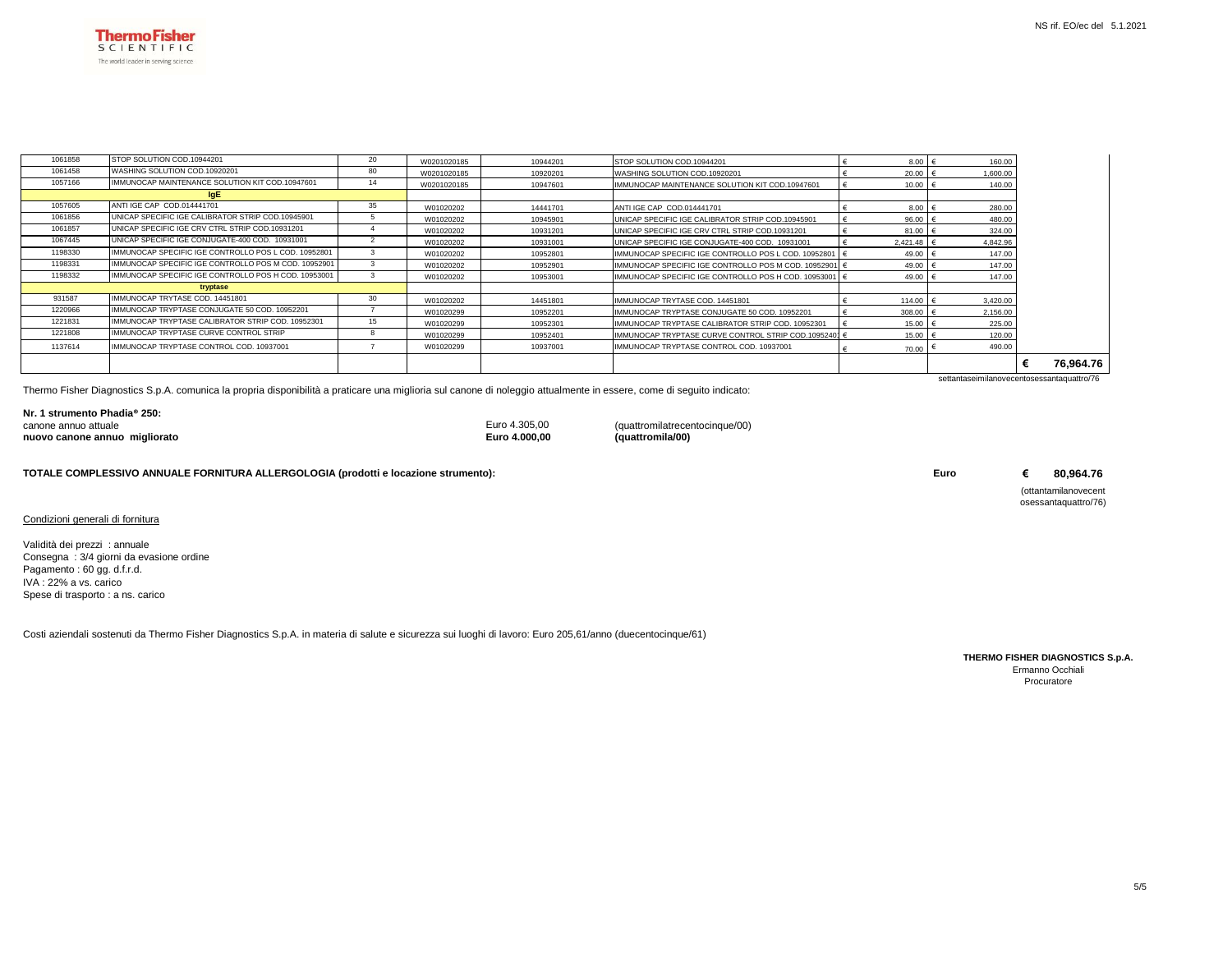

| 1061858 | STOP SOLUTION COD.10944201                           | 20 | W0201020185 | 10944201 | STOP SOLUTION COD.10944201                             | 8.00         | 160.00                                     |           |  |
|---------|------------------------------------------------------|----|-------------|----------|--------------------------------------------------------|--------------|--------------------------------------------|-----------|--|
| 1061458 | WASHING SOLUTION COD.10920201                        | 80 | W0201020185 | 10920201 | WASHING SOLUTION COD.10920201                          | 20.00        | 1,600.00                                   |           |  |
| 1057166 | IMMUNOCAP MAINTENANCE SOLUTION KIT COD.10947601      | 14 | W0201020185 | 10947601 | IMMUNOCAP MAINTENANCE SOLUTION KIT COD.10947601        | 10.00        | 140.00                                     |           |  |
|         | IgE                                                  |    |             |          |                                                        |              |                                            |           |  |
| 1057605 | ANTI IGE CAP COD.014441701                           | 35 | W01020202   | 14441701 | ANTI IGE CAP COD.014441701                             | 8.00 $\in$   | 280.00                                     |           |  |
| 1061856 | UNICAP SPECIFIC IGE CALIBRATOR STRIP COD.10945901    |    | W01020202   | 10945901 | UNICAP SPECIFIC IGE CALIBRATOR STRIP COD.10945901      | 96.00        | 480.00                                     |           |  |
| 1061857 | UNICAP SPECIFIC IGE CRV CTRL STRIP COD.10931201      |    | W01020202   | 10931201 | UNICAP SPECIFIC IGE CRV CTRL STRIP COD.10931201        | $81.00$ $($  | 324.00                                     |           |  |
| 1067445 | UNICAP SPECIFIC IGE CONJUGATE-400 COD. 10931001      |    | W01020202   | 10931001 | UNICAP SPECIFIC IGE CONJUGATE-400 COD. 10931001        | $2.421.48$ € | 4.842.96                                   |           |  |
| 1198330 | IMMUNOCAP SPECIFIC IGE CONTROLLO POS L COD, 10952801 |    | W01020202   | 10952801 | IMMUNOCAP SPECIFIC IGE CONTROLLO POS L COD, 10952801   | 49.00        | 147.00                                     |           |  |
| 1198331 | IMMUNOCAP SPECIFIC IGE CONTROLLO POS M COD, 10952901 |    | W01020202   | 10952901 | IMMUNOCAP SPECIFIC IGE CONTROLLO POS M COD. 10952901 € | 49.00        | 147.00                                     |           |  |
| 1198332 | IMMUNOCAP SPECIFIC IGE CONTROLLO POS H COD, 10953001 |    | W01020202   | 10953001 | IMMUNOCAP SPECIFIC IGE CONTROLLO POS H COD, 10953001   | 49.00        | 147.00                                     |           |  |
|         | tryptase                                             |    |             |          |                                                        |              |                                            |           |  |
| 931587  | IMMUNOCAP TRYTASE COD. 14451801                      | 30 | W01020202   | 14451801 | IMMUNOCAP TRYTASE COD, 14451801                        | 114.00 €     | 3.420.00                                   |           |  |
| 1220966 | IMMUNOCAP TRYPTASE CONJUGATE 50 COD, 10952201        |    | W01020299   | 10952201 | IMMUNOCAP TRYPTASE CONJUGATE 50 COD, 10952201          | 308.00       | 2,156.00                                   |           |  |
| 1221831 | IMMUNOCAP TRYPTASE CALIBRATOR STRIP COD, 10952301    | 15 | W01020299   | 10952301 | IMMUNOCAP TRYPTASE CALIBRATOR STRIP COD. 10952301      | 15.00        | 225.00                                     |           |  |
| 1221808 | IMMUNOCAP TRYPTASE CURVE CONTROL STRIP               |    | W01020299   | 10952401 | IMMUNOCAP TRYPTASE CURVE CONTROL STRIP COD.10952401 (  | 15.00        | 120.00                                     |           |  |
| 1137614 | IMMUNOCAP TRYPTASE CONTROL COD, 10937001             |    | W01020299   | 10937001 | IMMUNOCAP TRYPTASE CONTROL COD, 10937001               | 70.00        | 490.00                                     |           |  |
|         |                                                      |    |             |          |                                                        |              |                                            | 76,964.76 |  |
|         |                                                      |    |             |          |                                                        |              | settantaseimilanovecentosessantaguattro/76 |           |  |

Thermo Fisher Diagnostics S.p.A. comunica la propria disponibilità a praticare una miglioria sul canone di noleggio attualmente in essere, come di seguito indicato:

| Nr. 1 strumento Phadia® 250:  |               |                                |
|-------------------------------|---------------|--------------------------------|
| canone annuo attuale          | Euro 4.305.00 | (quattromilatrecentocinque/00) |
| nuovo canone annuo migliorato | Euro 4,000,00 | (quattromila/00)               |

**TOTALE COMPLESSIVO ANNUALE FORNITURA ALLERGOLOGIA (prodotti e locazione strumento):**

Condizioni generali di fornitura

Validità dei prezzi : annuale Consegna : 3/4 giorni da evasione ordine Pagamento : 60 gg. d.f.r.d. IVA : 22% a vs. carico Spese di trasporto : a ns. carico

Costi aziendali sostenuti da Thermo Fisher Diagnostics S.p.A. in materia di salute e sicurezza sui luoghi di lavoro: Euro 205,61/anno (duecentocinque/61)

**THERMO FISHER DIAGNOSTICS S.p.A.** Ermanno Occhiali Procuratore

**Euro € 80,964.76** (ottantamilanovecent osessantaquattro/76)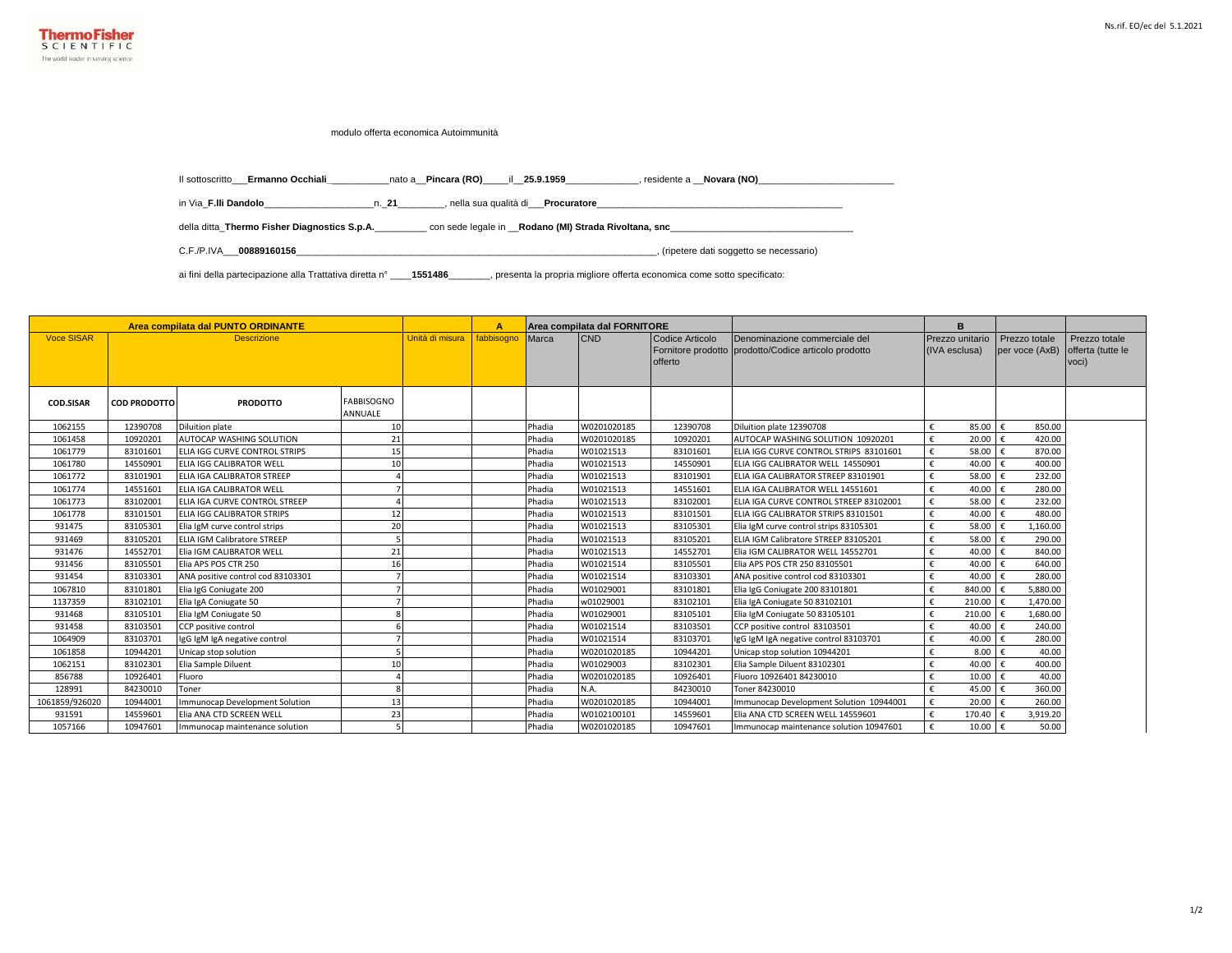

modulo offerta economica Autoimmunità

Il sottoscritto\_\_\_**Ermanno Occhiali\_**\_\_\_\_\_\_\_\_\_\_\_nato a\_\_**Pincara (RO)**\_\_\_\_\_il\_\_**25.9.1959**\_\_\_\_\_\_\_\_\_\_\_\_\_\_, residente a \_\_**Novara (NO)**\_\_\_\_\_\_\_\_\_\_\_\_\_\_\_\_\_\_\_\_\_\_\_\_\_\_

in Via\_**F.lli Dandolo**\_\_\_\_\_\_\_\_\_\_\_\_\_\_\_\_\_\_\_\_\_n.\_**21**\_\_\_\_\_\_\_\_\_, nella sua qualità di\_\_\_**Procuratore**\_\_\_\_\_\_\_\_\_\_\_\_\_\_\_\_\_\_\_\_\_\_\_\_\_\_\_\_\_\_\_\_\_\_\_\_\_\_\_\_\_\_\_\_\_\_\_

della ditta\_**Thermo Fisher Diagnostics S.p.A.**\_\_\_\_\_\_\_\_\_\_ con sede legale in \_\_**Rodano (MI) Strada Rivoltana, snc**\_\_\_\_\_\_\_\_\_\_\_\_\_\_\_\_\_\_\_\_\_\_\_\_\_\_\_\_\_\_\_\_\_\_\_

C.F./P.IVA\_\_\_**00889160156**\_\_\_\_\_\_\_\_\_\_\_\_\_\_\_\_\_\_\_\_\_\_\_\_\_\_\_\_\_\_\_\_\_\_\_\_\_\_\_\_\_\_\_\_\_\_\_\_\_\_\_\_\_\_\_\_\_\_\_\_\_\_\_\_\_\_\_\_\_, (ripetere dati soggetto se necessario)

ai fini della partecipazione alla Trattativa diretta n° \_\_\_\_**1551486**\_\_\_\_\_\_\_\_, presenta la propria migliore offerta economica come sotto specificato:

|                   |                     | Area compilata dal PUNTO ORDINANTE |                              |                 | Α          |        | Area compilata dal FORNITORE |                            |                                                                                       | B                                |                                 |                                             |
|-------------------|---------------------|------------------------------------|------------------------------|-----------------|------------|--------|------------------------------|----------------------------|---------------------------------------------------------------------------------------|----------------------------------|---------------------------------|---------------------------------------------|
| <b>Voce SISAR</b> |                     | <b>Descrizione</b>                 |                              | Unità di misura | fabbisogno | Marca  | <b>CND</b>                   | Codice Articolo<br>offerto | Denominazione commerciale del<br>Fornitore prodotto prodotto/Codice articolo prodotto | Prezzo unitario<br>(IVA esclusa) | Prezzo totale<br>per voce (AxB) | Prezzo totale<br>offerta (tutte le<br>voci) |
| <b>COD.SISAR</b>  | <b>COD PRODOTTO</b> | <b>PRODOTTO</b>                    | <b>FABBISOGNO</b><br>ANNUALE |                 |            |        |                              |                            |                                                                                       |                                  |                                 |                                             |
| 1062155           | 12390708            | <b>Diluition plate</b>             | 10                           |                 |            | Phadia | W0201020185                  | 12390708                   | Diluition plate 12390708                                                              | €<br>85.00                       | 850.00                          |                                             |
| 1061458           | 10920201            | AUTOCAP WASHING SOLUTION           | 21                           |                 |            | Phadia | W0201020185                  | 10920201                   | AUTOCAP WASHING SOLUTION 10920201                                                     | 20.00<br>€                       | 420.00                          |                                             |
| 1061779           | 83101601            | ELIA IGG CURVE CONTROL STRIPS      | 15                           |                 |            | Phadia | W01021513                    | 83101601                   | ELIA IGG CURVE CONTROL STRIPS 83101601                                                | €<br>58.00                       | 870.00                          |                                             |
| 1061780           | 14550901            | ELIA IGG CALIBRATOR WELL           | 10                           |                 |            | Phadia | W01021513                    | 14550901                   | ELIA IGG CALIBRATOR WELL 14550901                                                     | €<br>40.00                       | 400.00                          |                                             |
| 1061772           | 83101901            | <b>ELIA IGA CALIBRATOR STREEP</b>  |                              |                 |            | Phadia | W01021513                    | 83101901                   | ELIA IGA CALIBRATOR STREEP 83101901                                                   | f<br>58.00                       | 232.00                          |                                             |
| 1061774           | 14551601            | <b>ELIA IGA CALIBRATOR WELL</b>    |                              |                 |            | Phadia | W01021513                    | 14551601                   | ELIA IGA CALIBRATOR WELL 14551601                                                     | €<br>40.00                       | 280.00<br>$\mathbf{f}$          |                                             |
| 1061773           | 83102001            | ELIA IGA CURVE CONTROL STREEP      |                              |                 |            | Phadia | W01021513                    | 83102001                   | ELIA IGA CURVE CONTROL STREEP 83102001                                                | €<br>58.00                       | 232.00                          |                                             |
| 1061778           | 83101501            | <b>ELIA IGG CALIBRATOR STRIPS</b>  | 12                           |                 |            | Phadia | W01021513                    | 83101501                   | ELIA IGG CALIBRATOR STRIPS 83101501                                                   | €<br>40.00                       | 480.00                          |                                             |
| 931475            | 83105301            | Elia IgM curve control strips      | 20                           |                 |            | Phadia | W01021513                    | 83105301                   | Elia IgM curve control strips 83105301                                                | 58.00<br>f                       | 1,160.00                        |                                             |
| 931469            | 83105201            | <b>ELIA IGM Calibratore STREEP</b> |                              |                 |            | Phadia | W01021513                    | 83105201                   | ELIA IGM Calibratore STREEP 83105201                                                  | 58.00                            | 290.00                          |                                             |
| 931476            | 14552701            | Elia IGM CALIBRATOR WELL           | 21                           |                 |            | Phadia | W01021513                    | 14552701                   | Elia IGM CALIBRATOR WELL 14552701                                                     | 40.00                            | 840.00                          |                                             |
| 931456            | 83105501            | Elia APS POS CTR 250               | 16                           |                 |            | Phadia | W01021514                    | 83105501                   | Elia APS POS CTR 250 83105501                                                         | 40.00                            | 640.00                          |                                             |
| 931454            | 83103301            | ANA positive control cod 83103301  |                              |                 |            | Phadia | W01021514                    | 83103301                   | ANA positive control cod 83103301                                                     | 40.00                            | 280.00                          |                                             |
| 1067810           | 83101801            | Elia IgG Coniugate 200             |                              |                 |            | Phadia | W01029001                    | 83101801                   | Elia IgG Coniugate 200 83101801                                                       | €<br>840.00                      | 5,880.00                        |                                             |
| 1137359           | 83102101            | Elia IgA Coniugate 50              |                              |                 |            | Phadia | w01029001                    | 83102101                   | Elia IgA Coniugate 50 83102101                                                        | 210.00                           | 1,470.00                        |                                             |
| 931468            | 83105101            | Elia IgM Coniugate 50              |                              |                 |            | Phadia | W01029001                    | 83105101                   | Elia IgM Coniugate 50 83105101                                                        | 210.00<br>€                      | 1,680.00                        |                                             |
| 931458            | 83103501            | CCP positive control               |                              |                 |            | Phadia | W01021514                    | 83103501                   | CCP positive control 83103501                                                         | 40.00<br>€                       | 240.00                          |                                             |
| 1064909           | 83103701            | IgG IgM IgA negative control       |                              |                 |            | Phadia | W01021514                    | 83103701                   | IgG IgM IgA negative control 83103701                                                 | 40.00<br>€                       | 280.00                          |                                             |
| 1061858           | 10944201            | Unicap stop solution               |                              |                 |            | Phadia | W0201020185                  | 10944201                   | Unicap stop solution 10944201                                                         | 8.00                             | 40.00                           |                                             |
| 1062151           | 83102301            | Elia Sample Diluent                | 10                           |                 |            | Phadia | W01029003                    | 83102301                   | Elia Sample Diluent 83102301                                                          | 40.00<br>f                       | 400.00<br>€                     |                                             |
| 856788            | 10926401            | Fluoro                             |                              |                 |            | Phadia | W0201020185                  | 10926401                   | Fluoro 10926401 84230010                                                              | 10.00<br>€                       | 40.00                           |                                             |
| 128991            | 84230010            | Toner                              |                              |                 |            | Phadia | N.A.                         | 84230010                   | Toner 84230010                                                                        | €<br>45.00                       | 360.00                          |                                             |
| 1061859/926020    | 10944001            | Immunocap Development Solution     | 13                           |                 |            | Phadia | W0201020185                  | 10944001                   | Immunocap Development Solution 10944001                                               | f<br>20.00                       | 260.00                          |                                             |
| 931591            | 14559601            | Elia ANA CTD SCREEN WELL           | 23                           |                 |            | Phadia | W0102100101                  | 14559601                   | Elia ANA CTD SCREEN WELL 14559601                                                     | €<br>170.40                      | 3,919.20                        |                                             |
| 1057166           | 10947601            | Immunocap maintenance solution     |                              |                 |            | Phadia | W0201020185                  | 10947601                   | Immunocap maintenance solution 10947601                                               | €<br>10.00                       | 50.00                           |                                             |